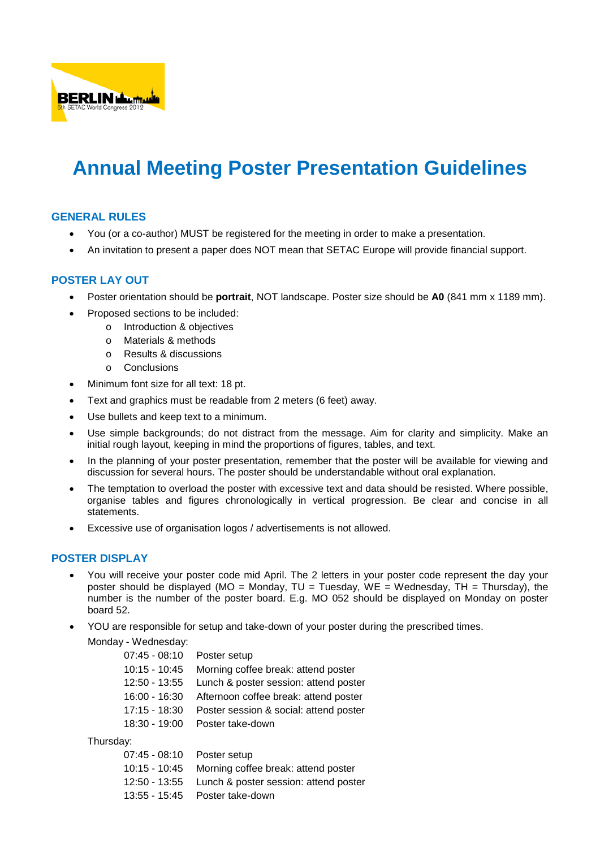

## **Annual Meeting Poster Presentation Guidelines**

## **GENERAL RULES**

- You (or a co-author) MUST be registered for the meeting in order to make a presentation.
- An invitation to present a paper does NOT mean that SETAC Europe will provide financial support.

## **POSTER LAY OUT**

- Poster orientation should be **portrait**, NOT landscape. Poster size should be **A0** (841 mm x 1189 mm).
	- Proposed sections to be included:
		- o Introduction & objectives
		- o Materials & methods
		- o Results & discussions
		- o Conclusions
- Minimum font size for all text: 18 pt.
- Text and graphics must be readable from 2 meters (6 feet) away.
- Use bullets and keep text to a minimum.
- Use simple backgrounds; do not distract from the message. Aim for clarity and simplicity. Make an initial rough layout, keeping in mind the proportions of figures, tables, and text.
- In the planning of your poster presentation, remember that the poster will be available for viewing and discussion for several hours. The poster should be understandable without oral explanation.
- The temptation to overload the poster with excessive text and data should be resisted. Where possible, organise tables and figures chronologically in vertical progression. Be clear and concise in all statements.
- Excessive use of organisation logos / advertisements is not allowed.

## **POSTER DISPLAY**

- You will receive your poster code mid April. The 2 letters in your poster code represent the day your poster should be displayed (MO = Monday,  $TU = Tuesday$ ,  $WE = Wednesday$ ,  $TH = Thursday$ ), the number is the number of the poster board. E.g. MO 052 should be displayed on Monday on poster board 52.
- YOU are responsible for setup and take-down of your poster during the prescribed times.

Monday - Wednesday:

| 07:45 - 08:10   | Poster setup                                        |
|-----------------|-----------------------------------------------------|
| 10:15 - 10:45   | Morning coffee break: attend poster                 |
| 12:50 - 13:55   | Lunch & poster session: attend poster               |
|                 | 16:00 - 16:30 Afternoon coffee break: attend poster |
| $17:15 - 18:30$ | Poster session & social: attend poster              |
| 18:30 - 19:00   | Poster take-down                                    |
|                 |                                                     |

Thursday:

| 07:45 - 08:10 Poster setup |                                                     |
|----------------------------|-----------------------------------------------------|
|                            | 10:15 - 10:45 Morning coffee break: attend poster   |
|                            | 12:50 - 13:55 Lunch & poster session: attend poster |
|                            | 13:55 - 15:45 Poster take-down                      |